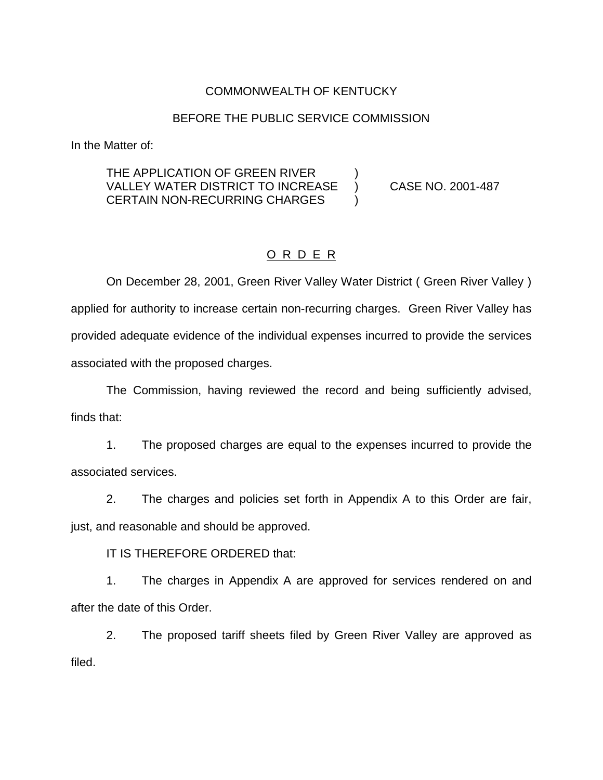# COMMONWEALTH OF KENTUCKY

#### BEFORE THE PUBLIC SERVICE COMMISSION

In the Matter of:

## THE APPLICATION OF GREEN RIVER VALLEY WATER DISTRICT TO INCREASE ) CASE NO. 2001-487 CERTAIN NON-RECURRING CHARGES )

### O R D E R

On December 28, 2001, Green River Valley Water District ( Green River Valley ) applied for authority to increase certain non-recurring charges. Green River Valley has provided adequate evidence of the individual expenses incurred to provide the services associated with the proposed charges.

The Commission, having reviewed the record and being sufficiently advised, finds that:

1. The proposed charges are equal to the expenses incurred to provide the associated services.

2. The charges and policies set forth in Appendix A to this Order are fair, just, and reasonable and should be approved.

IT IS THEREFORE ORDERED that:

1. The charges in Appendix A are approved for services rendered on and after the date of this Order.

2. The proposed tariff sheets filed by Green River Valley are approved as filed.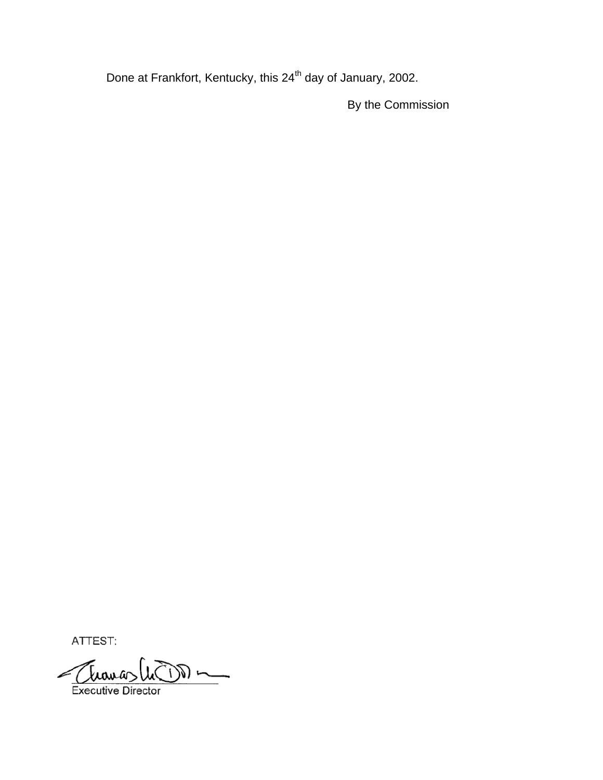Done at Frankfort, Kentucky, this 24<sup>th</sup> day of January, 2002.

By the Commission

ATTEST:

Executive Director  $\frac{1}{\sqrt{2}}\int_{0}^{\infty}\frac{1}{\sqrt{2\pi}}\left( \frac{1}{\sqrt{2}}\right) \frac{dx}{dx}dx$